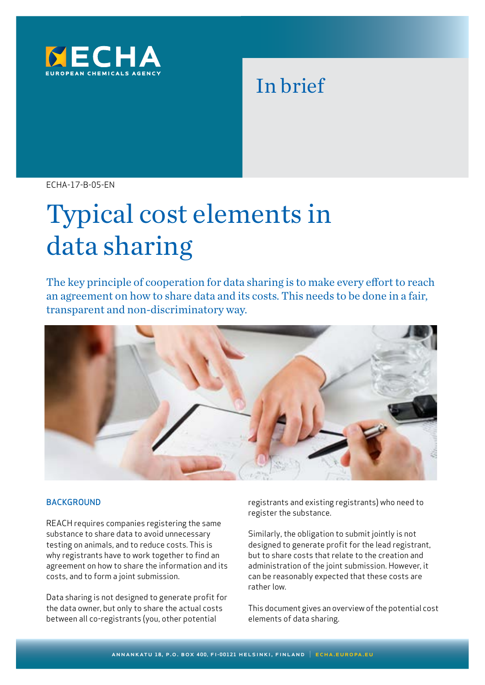

# In brief

ECHA-17-B-05-EN

# Typical cost elements in data sharing

The key principle of cooperation for data sharing is to make every effort to reach an agreement on how to share data and its costs. This needs to be done in a fair, transparent and non-discriminatory way.



#### **BACKGROUND**

REACH requires companies registering the same substance to share data to avoid unnecessary testing on animals, and to reduce costs. This is why registrants have to work together to find an agreement on how to share the information and its costs, and to form a joint submission.

Data sharing is not designed to generate profit for the data owner, but only to share the actual costs between all co-registrants (you, other potential

registrants and existing registrants) who need to register the substance.

Similarly, the obligation to submit jointly is not designed to generate profit for the lead registrant, but to share costs that relate to the creation and administration of the joint submission. However, it can be reasonably expected that these costs are rather low.

This document gives an overview of the potential cost elements of data sharing.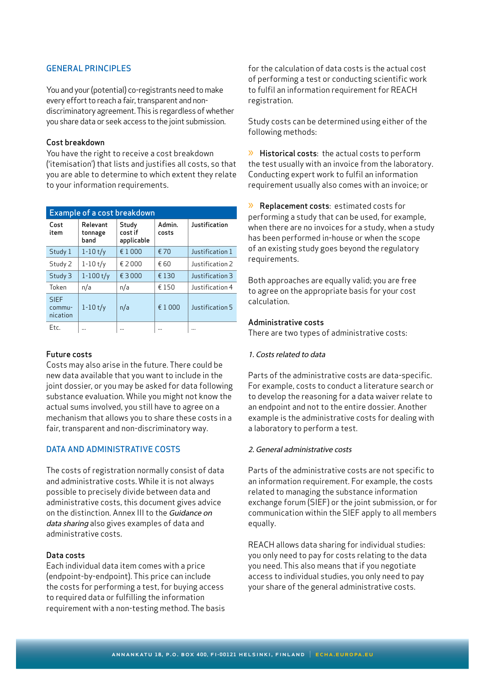# GENERAL PRINCIPLES

You and your (potential) co-registrants need to make every effort to reach a fair, transparent and nondiscriminatory agreement. This is regardless of whether you share data or seek access to the joint submission.

#### Cost breakdown

You have the right to receive a cost breakdown ('itemisation') that lists and justifies all costs, so that you are able to determine to which extent they relate to your information requirements.

| <b>Example of a cost breakdown</b> |                             |                                |                 |                 |
|------------------------------------|-----------------------------|--------------------------------|-----------------|-----------------|
| Cost<br>item                       | Relevant<br>tonnage<br>band | Study<br>cost if<br>applicable | Admin.<br>costs | Justification   |
| Study 1                            | $1 - 10t/y$                 | £1000                          | € 70            | Justification 1 |
| Study 2                            | $1 - 10t/y$                 | £2000                          | € 60            | lustification 2 |
| Study 3                            | $1 - 100$ t/y               | £ 3000                         | € 130           | Justification 3 |
| Token                              | n/a                         | n/a                            | € 150           | Justification 4 |
| <b>SIEF</b><br>commu-<br>nication  | $1 - 10t/v$                 | n/a                            | € 1 000         | Justification 5 |
| Etc.                               |                             |                                |                 |                 |

# Future costs

Costs may also arise in the future. There could be new data available that you want to include in the joint dossier, or you may be asked for data following substance evaluation. While you might not know the actual sums involved, you still have to agree on a mechanism that allows you to share these costs in a fair, transparent and non-discriminatory way.

# DATA AND ADMINISTRATIVE COSTS

The costs of registration normally consist of data and administrative costs. While it is not always possible to precisely divide between data and administrative costs, this document gives advice on the distinction. Annex III to the Guidance on data sharing also gives examples of data and administrative costs.

# Data costs

Each individual data item comes with a price (endpoint-by-endpoint). This price can include the costs for performing a test, for buying access to required data or fulfilling the information requirement with a non-testing method. The basis for the calculation of data costs is the actual cost of performing a test or conducting scientific work to fulfil an information requirement for REACH registration.

Study costs can be determined using either of the following methods:

» Historical costs: the actual costs to perform the test usually with an invoice from the laboratory. Conducting expert work to fulfil an information requirement usually also comes with an invoice; or

» Replacement costs: estimated costs for performing a study that can be used, for example, when there are no invoices for a study, when a study has been performed in-house or when the scope of an existing study goes beyond the regulatory requirements.

Both approaches are equally valid; you are free to agree on the appropriate basis for your cost calculation.

# Administrative costs

There are two types of administrative costs:

# 1. Costs related to data

Parts of the administrative costs are data-specific. For example, costs to conduct a literature search or to develop the reasoning for a data waiver relate to an endpoint and not to the entire dossier. Another example is the administrative costs for dealing with a laboratory to perform a test.

# 2. General administrative costs

Parts of the administrative costs are not specific to an information requirement. For example, the costs related to managing the substance information exchange forum (SIEF) or the joint submission, or for communication within the SIEF apply to all members equally.

REACH allows data sharing for individual studies: you only need to pay for costs relating to the data you need. This also means that if you negotiate access to individual studies, you only need to pay your share of the general administrative costs.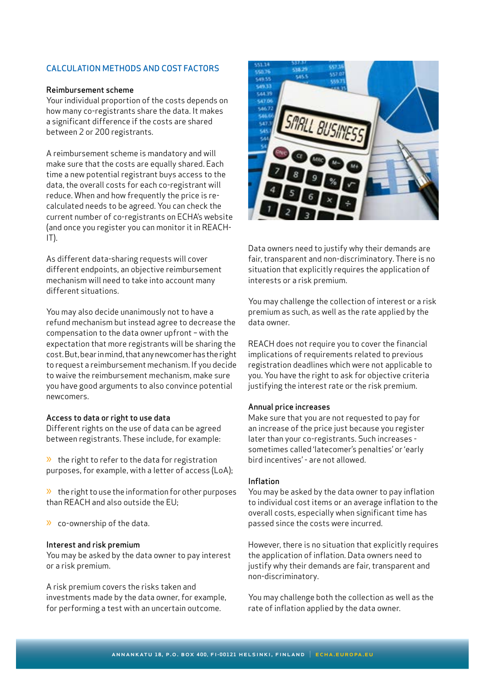# CALCULATION METHODS AND COST FACTORS

#### Reimbursement scheme

Your individual proportion of the costs depends on how many co-registrants share the data. It makes a significant difference if the costs are shared between 2 or 200 registrants.

A reimbursement scheme is mandatory and will make sure that the costs are equally shared. Each time a new potential registrant buys access to the data, the overall costs for each co-registrant will reduce. When and how frequently the price is recalculated needs to be agreed. You can check the current number of co-registrants on ECHA's website (and once you register you can monitor it in REACH- $|T|$ .

As different data-sharing requests will cover different endpoints, an objective reimbursement mechanism will need to take into account many different situations.

You may also decide unanimously not to have a refund mechanism but instead agree to decrease the compensation to the data owner upfront – with the expectation that more registrants will be sharing the cost. But, bear in mind, that any newcomer has the right to request a reimbursement mechanism. If you decide to waive the reimbursement mechanism, make sure you have good arguments to also convince potential newcomers.

#### Access to data or right to use data

Different rights on the use of data can be agreed between registrants. These include, for example:

 $\lambda$  the right to refer to the data for registration purposes, for example, with a letter of access (LoA);

» the right to use the information for other purposes than REACH and also outside the EU;

» co-ownership of the data.

#### Interest and risk premium

You may be asked by the data owner to pay interest or a risk premium.

A risk premium covers the risks taken and investments made by the data owner, for example, for performing a test with an uncertain outcome.



Data owners need to justify why their demands are fair, transparent and non-discriminatory. There is no situation that explicitly requires the application of interests or a risk premium.

You may challenge the collection of interest or a risk premium as such, as well as the rate applied by the data owner.

REACH does not require you to cover the financial implications of requirements related to previous registration deadlines which were not applicable to you. You have the right to ask for objective criteria justifying the interest rate or the risk premium.

#### Annual price increases

Make sure that you are not requested to pay for an increase of the price just because you register later than your co-registrants. Such increases sometimes called 'latecomer's penalties' or 'early bird incentives' - are not allowed.

#### Inflation

You may be asked by the data owner to pay inflation to individual cost items or an average inflation to the overall costs, especially when significant time has passed since the costs were incurred.

However, there is no situation that explicitly requires the application of inflation. Data owners need to justify why their demands are fair, transparent and non-discriminatory.

You may challenge both the collection as well as the rate of inflation applied by the data owner.